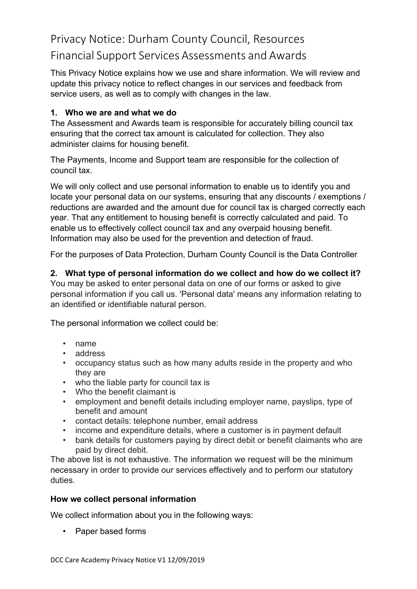# Privacy Notice: Durham County Council, Resources Financial Support Services Assessments and Awards

This Privacy Notice explains how we use and share information. We will review and update this privacy notice to reflect changes in our services and feedback from service users, as well as to comply with changes in the law.

# **1. Who we are and what we do**

The Assessment and Awards team is responsible for accurately billing council tax ensuring that the correct tax amount is calculated for collection. They also administer claims for housing benefit.

The Payments, Income and Support team are responsible for the collection of council tax.

We will only collect and use personal information to enable us to identify you and locate your personal data on our systems, ensuring that any discounts / exemptions / reductions are awarded and the amount due for council tax is charged correctly each year. That any entitlement to housing benefit is correctly calculated and paid. To enable us to effectively collect council tax and any overpaid housing benefit. Information may also be used for the prevention and detection of fraud.

For the purposes of Data Protection, Durham County Council is the Data Controller

# **2. What type of personal information do we collect and how do we collect it?**

You may be asked to enter personal data on one of our forms or asked to give personal information if you call us. 'Personal data' means any information relating to an identified or identifiable natural person.

The personal information we collect could be:

- name
- address
- occupancy status such as how many adults reside in the property and who they are
- who the liable party for council tax is
- Who the benefit claimant is
- employment and benefit details including employer name, payslips, type of benefit and amount
- contact details: telephone number, email address
- income and expenditure details, where a customer is in payment default
- bank details for customers paying by direct debit or benefit claimants who are paid by direct debit.

The above list is not exhaustive. The information we request will be the minimum necessary in order to provide our services effectively and to perform our statutory duties.

### **How we collect personal information**

We collect information about you in the following ways:

• Paper based forms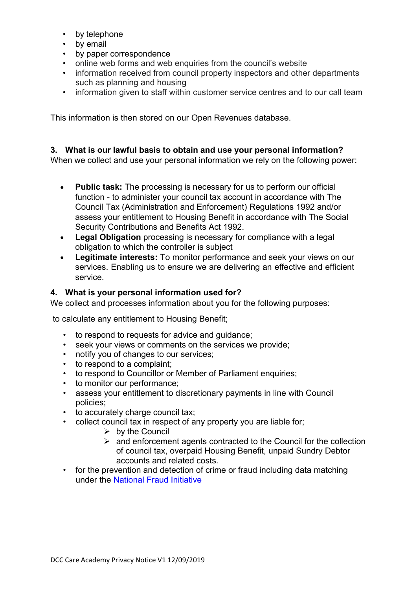- by telephone
- by email
- by paper correspondence
- online web forms and web enquiries from the council's website
- information received from council property inspectors and other departments such as planning and housing
- information given to staff within customer service centres and to our call team

This information is then stored on our Open Revenues database.

#### **3. What is our lawful basis to obtain and use your personal information?**

When we collect and use your personal information we rely on the following power:

- **Public task:** The processing is necessary for us to perform our official function - to administer your council tax account in accordance with The Council Tax (Administration and Enforcement) Regulations 1992 and/or assess your entitlement to Housing Benefit in accordance with The Social Security Contributions and Benefits Act 1992.
- **Legal Obligation** processing is necessary for compliance with a legal obligation to which the controller is subject
- **Legitimate interests:** To monitor performance and seek your views on our services. Enabling us to ensure we are delivering an effective and efficient service.

#### **4. What is your personal information used for?**

We collect and processes information about you for the following purposes:

to calculate any entitlement to Housing Benefit;

- to respond to requests for advice and guidance;
- seek your views or comments on the services we provide;
- notify you of changes to our services;
- to respond to a complaint;
- to respond to Councillor or Member of Parliament enquiries;
- to monitor our performance;
- assess your entitlement to discretionary payments in line with Council policies;
- to accurately charge council tax;
- collect council tax in respect of any property you are liable for;
	- $\triangleright$  by the Council
	- $\ge$  and enforcement agents contracted to the Council for the collection of council tax, overpaid Housing Benefit, unpaid Sundry Debtor accounts and related costs.
- for the prevention and detection of crime or fraud including data matching under the [National Fraud](http://www.durham.gov.uk/article/2535/National-Fraud-Initiative) Initiative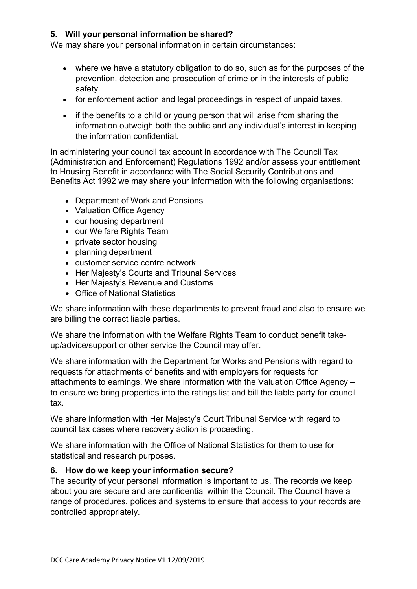## **5. Will your personal information be shared?**

We may share your personal information in certain circumstances:

- where we have a statutory obligation to do so, such as for the purposes of the prevention, detection and prosecution of crime or in the interests of public safety.
- for enforcement action and legal proceedings in respect of unpaid taxes,
- if the benefits to a child or young person that will arise from sharing the information outweigh both the public and any individual's interest in keeping the information confidential.

In administering your council tax account in accordance with The Council Tax (Administration and Enforcement) Regulations 1992 and/or assess your entitlement to Housing Benefit in accordance with The Social Security Contributions and Benefits Act 1992 we may share your information with the following organisations:

- Department of Work and Pensions
- Valuation Office Agency
- our housing department
- our Welfare Rights Team
- private sector housing
- planning department
- customer service centre network
- Her Majesty's Courts and Tribunal Services
- Her Majesty's Revenue and Customs
- Office of National Statistics

We share information with these departments to prevent fraud and also to ensure we are billing the correct liable parties.

We share the information with the Welfare Rights Team to conduct benefit takeup/advice/support or other service the Council may offer.

We share information with the Department for Works and Pensions with regard to requests for attachments of benefits and with employers for requests for attachments to earnings. We share information with the Valuation Office Agency – to ensure we bring properties into the ratings list and bill the liable party for council tax.

We share information with Her Majesty's Court Tribunal Service with regard to council tax cases where recovery action is proceeding.

We share information with the Office of National Statistics for them to use for statistical and research purposes.

### **6. How do we keep your information secure?**

The security of your personal information is important to us. The records we keep about you are secure and are confidential within the Council. The Council have a range of procedures, polices and systems to ensure that access to your records are controlled appropriately.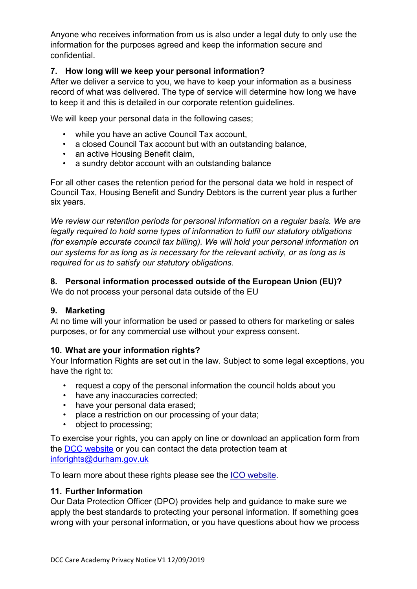Anyone who receives information from us is also under a legal duty to only use the information for the purposes agreed and keep the information secure and confidential.

## **7. How long will we keep your personal information?**

After we deliver a service to you, we have to keep your information as a business record of what was delivered. The type of service will determine how long we have to keep it and this is detailed in our corporate retention guidelines.

We will keep your personal data in the following cases;

- while you have an active Council Tax account,
- a closed Council Tax account but with an outstanding balance,
- an active Housing Benefit claim,
- a sundry debtor account with an outstanding balance

For all other cases the retention period for the personal data we hold in respect of Council Tax, Housing Benefit and Sundry Debtors is the current year plus a further six years.

*We review our retention periods for personal information on a regular basis. We are legally required to hold some types of information to fulfil our statutory obligations (for example accurate council tax billing). We will hold your personal information on our systems for as long as is necessary for the relevant activity, or as long as is required for us to satisfy our statutory obligations.*

# **8. Personal information processed outside of the European Union (EU)?**

We do not process your personal data outside of the EU

### **9. Marketing**

At no time will your information be used or passed to others for marketing or sales purposes, or for any commercial use without your express consent.

### **10. What are your information rights?**

Your Information Rights are set out in the law. Subject to some legal exceptions, you have the right to:

- request a copy of the personal information the council holds about you
- have any inaccuracies corrected;
- have your personal data erased;
- place a restriction on our processing of your data;
- object to processing;

To exercise your rights, you can apply on line or download an application form from the DCC website or you can contact the data protection team at [inforights@durham.gov.uk](mailto:inforights@durham.gov.uk)

To learn more about these rights please see the ICO [website.](https://ico.org.uk/for-organisations/guide-to-the-general-data-protection-regulation-gdpr/individual-rights/)

#### **11. Further Information**

Our Data Protection Officer (DPO) provides help and guidance to make sure we apply the best standards to protecting your personal information. If something goes wrong with your personal information, or you have questions about how we process